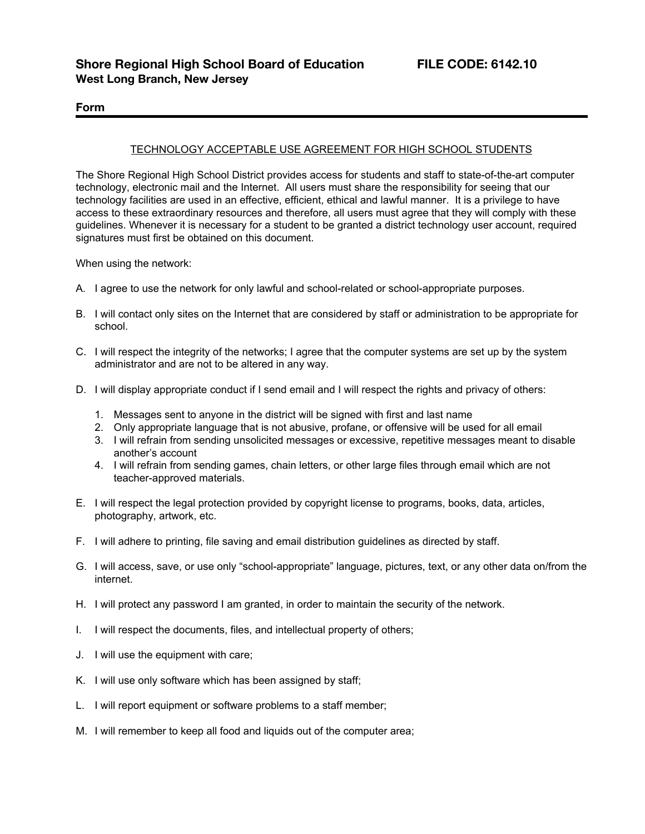# **Form**

# TECHNOLOGY ACCEPTABLE USE AGREEMENT FOR HIGH SCHOOL STUDENTS

The Shore Regional High School District provides access for students and staff to state-of-the-art computer technology, electronic mail and the Internet. All users must share the responsibility for seeing that our technology facilities are used in an effective, efficient, ethical and lawful manner. It is a privilege to have access to these extraordinary resources and therefore, all users must agree that they will comply with these guidelines. Whenever it is necessary for a student to be granted a district technology user account, required signatures must first be obtained on this document.

When using the network:

- A. I agree to use the network for only lawful and school-related or school-appropriate purposes.
- B. I will contact only sites on the Internet that are considered by staff or administration to be appropriate for school.
- C. I will respect the integrity of the networks; I agree that the computer systems are set up by the system administrator and are not to be altered in any way.
- D. I will display appropriate conduct if I send email and I will respect the rights and privacy of others:
	- 1. Messages sent to anyone in the district will be signed with first and last name
	- 2. Only appropriate language that is not abusive, profane, or offensive will be used for all email
	- 3. I will refrain from sending unsolicited messages or excessive, repetitive messages meant to disable another's account
	- 4. I will refrain from sending games, chain letters, or other large files through email which are not teacher-approved materials.
- E. I will respect the legal protection provided by copyright license to programs, books, data, articles, photography, artwork, etc.
- F. I will adhere to printing, file saving and email distribution guidelines as directed by staff.
- G. I will access, save, or use only "school-appropriate" language, pictures, text, or any other data on/from the internet.
- H. I will protect any password I am granted, in order to maintain the security of the network.
- I. I will respect the documents, files, and intellectual property of others;
- J. I will use the equipment with care;
- K. I will use only software which has been assigned by staff;
- L. I will report equipment or software problems to a staff member;
- M. I will remember to keep all food and liquids out of the computer area;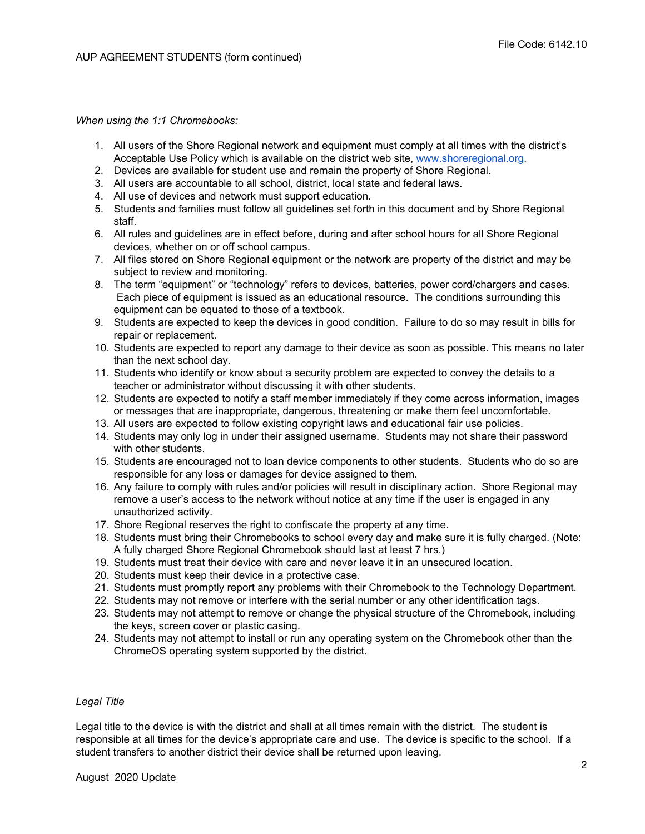*When using the 1:1 Chromebooks:*

- 1. All users of the Shore Regional network and equipment must comply at all times with the district's Acceptable Use Policy which is available on the district web site, [www.shoreregional.org](http://www.shoreregional.org/).
- 2. Devices are available for student use and remain the property of Shore Regional.
- 3. All users are accountable to all school, district, local state and federal laws.
- 4. All use of devices and network must support education.
- 5. Students and families must follow all guidelines set forth in this document and by Shore Regional staff.
- 6. All rules and guidelines are in effect before, during and after school hours for all Shore Regional devices, whether on or off school campus.
- 7. All files stored on Shore Regional equipment or the network are property of the district and may be subject to review and monitoring.
- 8. The term "equipment" or "technology" refers to devices, batteries, power cord/chargers and cases. Each piece of equipment is issued as an educational resource. The conditions surrounding this equipment can be equated to those of a textbook.
- 9. Students are expected to keep the devices in good condition. Failure to do so may result in bills for repair or replacement.
- 10. Students are expected to report any damage to their device as soon as possible. This means no later than the next school day.
- 11. Students who identify or know about a security problem are expected to convey the details to a teacher or administrator without discussing it with other students.
- 12. Students are expected to notify a staff member immediately if they come across information, images or messages that are inappropriate, dangerous, threatening or make them feel uncomfortable.
- 13. All users are expected to follow existing copyright laws and educational fair use policies.
- 14. Students may only log in under their assigned username. Students may not share their password with other students.
- 15. Students are encouraged not to loan device components to other students. Students who do so are responsible for any loss or damages for device assigned to them.
- 16. Any failure to comply with rules and/or policies will result in disciplinary action. Shore Regional may remove a user's access to the network without notice at any time if the user is engaged in any unauthorized activity.
- 17. Shore Regional reserves the right to confiscate the property at any time.
- 18. Students must bring their Chromebooks to school every day and make sure it is fully charged. (Note: A fully charged Shore Regional Chromebook should last at least 7 hrs.)
- 19. Students must treat their device with care and never leave it in an unsecured location.
- 20. Students must keep their device in a protective case.
- 21. Students must promptly report any problems with their Chromebook to the Technology Department.
- 22. Students may not remove or interfere with the serial number or any other identification tags.
- 23. Students may not attempt to remove or change the physical structure of the Chromebook, including the keys, screen cover or plastic casing.
- 24. Students may not attempt to install or run any operating system on the Chromebook other than the ChromeOS operating system supported by the district.

#### *Legal Title*

Legal title to the device is with the district and shall at all times remain with the district. The student is responsible at all times for the device's appropriate care and use. The device is specific to the school. If a student transfers to another district their device shall be returned upon leaving.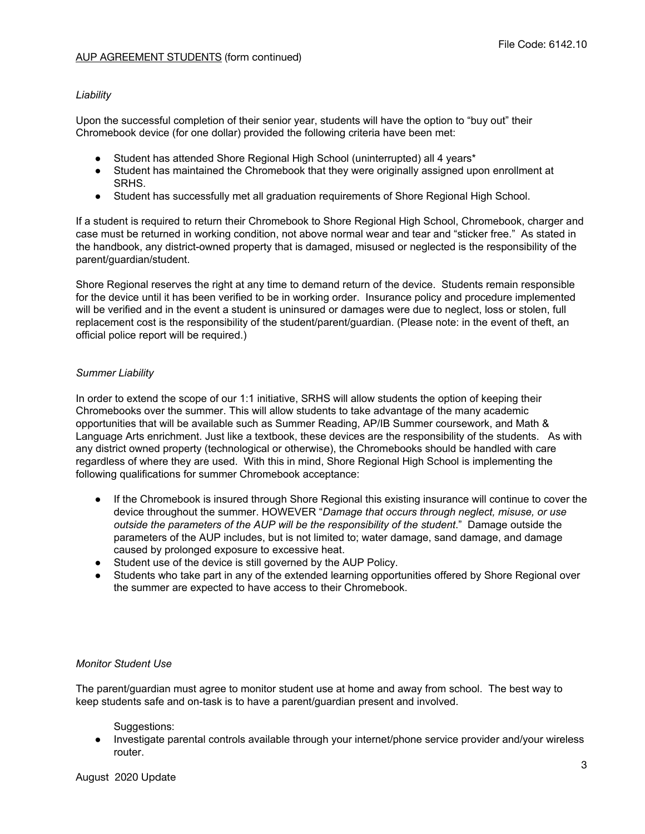# *Liability*

Upon the successful completion of their senior year, students will have the option to "buy out" their Chromebook device (for one dollar) provided the following criteria have been met:

- Student has attended Shore Regional High School (uninterrupted) all 4 years\*
- Student has maintained the Chromebook that they were originally assigned upon enrollment at SRHS.
- Student has successfully met all graduation requirements of Shore Regional High School.

If a student is required to return their Chromebook to Shore Regional High School, Chromebook, charger and case must be returned in working condition, not above normal wear and tear and "sticker free." As stated in the handbook, any district-owned property that is damaged, misused or neglected is the responsibility of the parent/guardian/student.

Shore Regional reserves the right at any time to demand return of the device. Students remain responsible for the device until it has been verified to be in working order. Insurance policy and procedure implemented will be verified and in the event a student is uninsured or damages were due to neglect, loss or stolen, full replacement cost is the responsibility of the student/parent/guardian. (Please note: in the event of theft, an official police report will be required.)

### *Summer Liability*

In order to extend the scope of our 1:1 initiative, SRHS will allow students the option of keeping their Chromebooks over the summer. This will allow students to take advantage of the many academic opportunities that will be available such as Summer Reading, AP/IB Summer coursework, and Math & Language Arts enrichment. Just like a textbook, these devices are the responsibility of the students. As with any district owned property (technological or otherwise), the Chromebooks should be handled with care regardless of where they are used. With this in mind, Shore Regional High School is implementing the following qualifications for summer Chromebook acceptance:

- If the Chromebook is insured through Shore Regional this existing insurance will continue to cover the device throughout the summer. HOWEVER "*Damage that occurs through neglect, misuse, or use outside the parameters of the AUP will be the responsibility of the student*." Damage outside the parameters of the AUP includes, but is not limited to; water damage, sand damage, and damage caused by prolonged exposure to excessive heat.
- Student use of the device is still governed by the AUP Policy.
- Students who take part in any of the extended learning opportunities offered by Shore Regional over the summer are expected to have access to their Chromebook.

#### *Monitor Student Use*

The parent/guardian must agree to monitor student use at home and away from school. The best way to keep students safe and on-task is to have a parent/guardian present and involved.

#### Suggestions:

● Investigate parental controls available through your internet/phone service provider and/your wireless router.